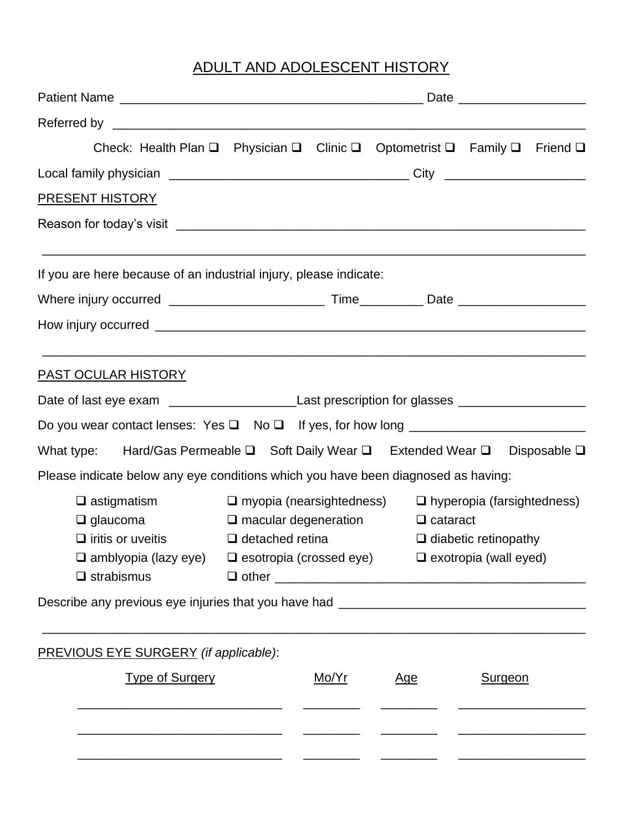## ADULT AND ADOLESCENT HISTORY

| Check: Health Plan Q Physician Q Clinic Q Optometrist Q Family Q Friend Q                                      |                                                                                                  |       |                                                                         |                |  |
|----------------------------------------------------------------------------------------------------------------|--------------------------------------------------------------------------------------------------|-------|-------------------------------------------------------------------------|----------------|--|
|                                                                                                                |                                                                                                  |       |                                                                         |                |  |
| <b>PRESENT HISTORY</b>                                                                                         |                                                                                                  |       |                                                                         |                |  |
|                                                                                                                |                                                                                                  |       |                                                                         |                |  |
| If you are here because of an industrial injury, please indicate:                                              |                                                                                                  |       |                                                                         |                |  |
|                                                                                                                |                                                                                                  |       |                                                                         |                |  |
|                                                                                                                |                                                                                                  |       |                                                                         |                |  |
| <u>PAST OCULAR HISTORY</u>                                                                                     |                                                                                                  |       |                                                                         |                |  |
| Date of last eye exam __________________________Last prescription for glasses _____________________            |                                                                                                  |       |                                                                         |                |  |
|                                                                                                                |                                                                                                  |       |                                                                         |                |  |
| What type: Hard/Gas Permeable $\square$ Soft Daily Wear $\square$ Extended Wear $\square$ Disposable $\square$ |                                                                                                  |       |                                                                         |                |  |
| Please indicate below any eye conditions which you have been diagnosed as having:                              |                                                                                                  |       |                                                                         |                |  |
| $\square$ astigmatism                                                                                          |                                                                                                  |       | $\square$ myopia (nearsightedness) $\square$ hyperopia (farsightedness) |                |  |
| $\Box$ glaucoma                                                                                                |                                                                                                  |       | $\Box$ macular degeneration $\Box$ cataract                             |                |  |
| $\Box$ iritis or uveitis                                                                                       | $\Box$ detached retina                                                                           |       | $\Box$ diabetic retinopathy                                             |                |  |
| $\Box$ strabismus                                                                                              | $\square$ amblyopia (lazy eye) $\square$ esotropia (crossed eye) $\square$ exotropia (wall eyed) |       |                                                                         |                |  |
| Describe any previous eye injuries that you have had ____________________________                              |                                                                                                  |       |                                                                         |                |  |
|                                                                                                                |                                                                                                  |       |                                                                         |                |  |
| <b>PREVIOUS EYE SURGERY</b> (if applicable):                                                                   |                                                                                                  |       |                                                                         |                |  |
| <b>Type of Surgery</b>                                                                                         |                                                                                                  | Mo/Yr | <u>Age</u>                                                              | <b>Surgeon</b> |  |
|                                                                                                                |                                                                                                  |       |                                                                         |                |  |
|                                                                                                                |                                                                                                  |       |                                                                         |                |  |
|                                                                                                                |                                                                                                  |       |                                                                         |                |  |